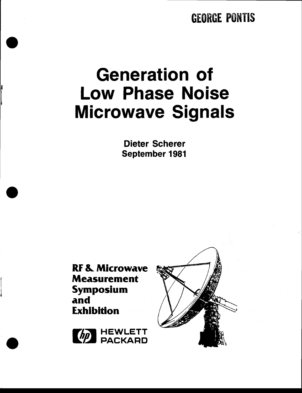## **GEORGE PONTIS**

# **Generation of Low Phase Noise Microwave Signals**

**Dieter Scherer September 1981** 

**RF & Microwave Measurement** Symposium and **Exhibition** 



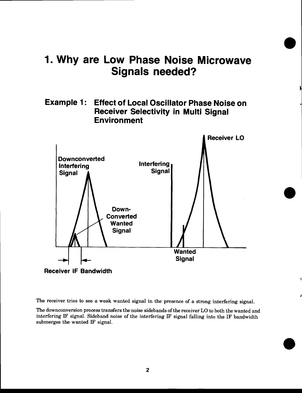## 1. Why are Low Phase Noise Microwave Signals needed?

#### Example 1: Effect of Local Oscillator Phase Noise on Receiver Selectivity in Multi Signal Environment

![](_page_1_Figure_2.jpeg)

Receiver lF Bandwidth

The receiver tries to see a weak wanted signal in the presence of a strong interfering signal.

The downconversion process transfers the noise sidebands of the receiver LO to both the wanted and interfering IF signal. Sideband noise of the interfering IF signal falling into the IF bandwidth submerges the wanted IF signal.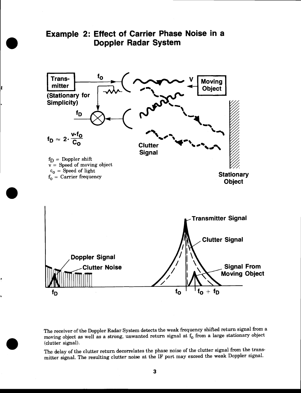![](_page_2_Figure_0.jpeg)

o

o

The receiver of the Doppler Radar System detects the weak frequency shifted return signal from a moving object as well as a strong, unwanted return signal at  $f_0$  from a large stationary object (clutter signal).

The delay of the clutter return decorrelates the phase noise of the clutter signal from the transmitter signal. The resulting clutter noise at the IF port may exceed the weak Doppler signal.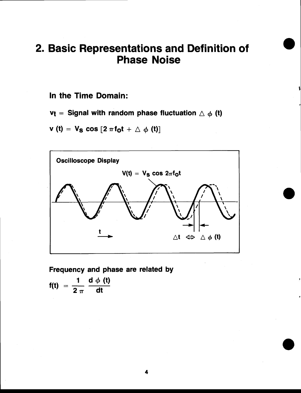## 2. Basic Representations and Definition of **Phase Noise**

In the Time Domain:

 $v_t$  = Signal with random phase fluctuation  $\triangle \phi$  (t)

 $v(t) = V_S cos [2 \pi f_0 t + \triangle \phi (t)]$ 

![](_page_3_Figure_4.jpeg)

Frequency and phase are related by

$$
f(t) = \frac{1}{2 \pi} \frac{d \phi (t)}{dt}
$$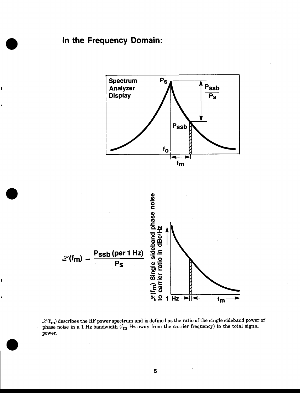#### In the Frequency Domain:

ł

![](_page_4_Figure_1.jpeg)

 $\mathcal{L}(f_m)$  describes the RF power spectrum and is defined as the ratio of the single sideband power of phase noise in a 1 Hz bandwidth ( $f_m$  Hz away from the carrier frequency) to the total signal power.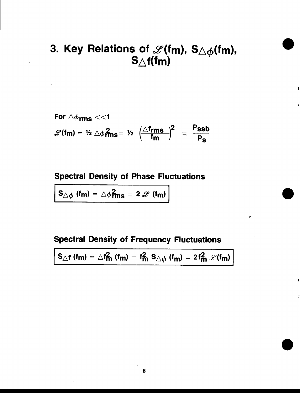## 3. Key Relations of  $\mathscr{L}(\mathsf{fm})$ , S $\triangle \phi(\mathsf{fm})$ ,  $\mathsf{S}_{\triangle \mathsf{f}}(\mathsf{f}\mathsf{m})$

For 
$$
\triangle\phi_{rms} << 1
$$
  
 $\mathscr{L}(f_m) = \frac{1}{2} \triangle\phi_{rms}^2 = \frac{1}{2} \left(\frac{\triangle f_{rms}}{f_m}\right)^2 = \frac{P_{ssb}}{P_s}$ 

#### Spectral Density of Phase Fluctuations

 $S_{\triangle\phi}$  (fm) =  $\triangle\phi$ <sub>rms</sub> = 2  $\mathscr{L}$  (fm)

#### Spectral Density of Frequency Fluctuations

$$
S_{\triangle f}(\mathsf{f}\mathsf{m}) = \triangle f_{\mathsf{m}}^2(\mathsf{f}\mathsf{m}) = f_{\mathsf{m}}^2 S_{\triangle \phi}(\mathsf{f}\mathsf{m}) = 2f_{\mathsf{m}}^2 \mathcal{L}(\mathsf{f}\mathsf{m})
$$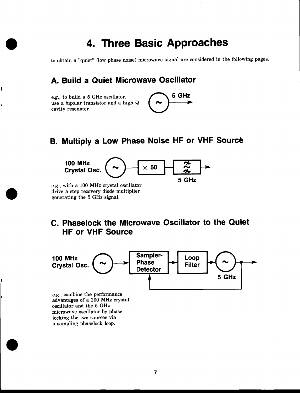## 4. Three Basic Approaches

to obtain a "quiet" (low phase noise) microwave signal are considered in the following pages.

#### A. Build a Quiet Microwave Oscillator

e.g., to build a 5 GHz oscillator, use a bipolar transistor and a high Q cavity resonator

ι

![](_page_6_Figure_4.jpeg)

#### **B. Multiply a Low Phase Noise HF or VHF Source**

![](_page_6_Figure_6.jpeg)

e.g., with a 100 MHz crystal oscillator drive a step recovery diode multiplier generating the 5 GHz signal.

#### C. Phaselock the Microwave Oscillator to the Quiet HF or VHF Source

![](_page_6_Figure_9.jpeg)

e.g., combine the performance advantages of a 100 MHz crystal oscillator and the 5 GHz microwave oscillator by phase locking the two sources via a sampling phaselock loop.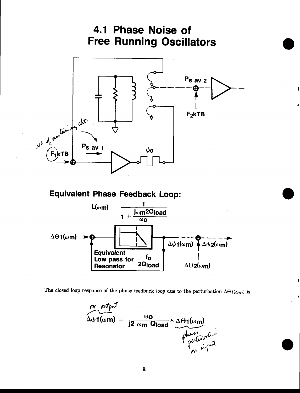![](_page_7_Figure_0.jpeg)

![](_page_7_Figure_1.jpeg)

The closed loop response of the phase feedback loop due to the perturbation  $\Delta\Theta_1(\omega_m)$  is

$$
\Delta\phi\mathbf{1}(\omega m) = \frac{\omega_0}{j2 \omega m \text{ Qload}} \times \underbrace{\Delta\Theta\mathbf{1}(\omega m)}_{\text{Qubit}}
$$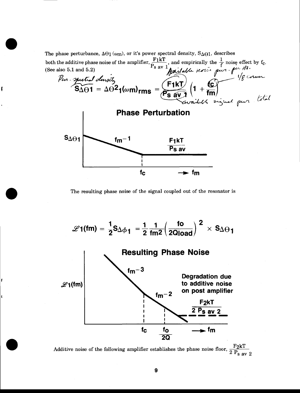The phase perturbance,  $\Delta\Theta_1(\omega_m)$ , or it's power spectral density,  $S_{\Delta\Theta_1}$ , describes

ţ

![](_page_8_Figure_1.jpeg)

The resulting phase noise of the signal coupled out of the resonator is

![](_page_8_Figure_3.jpeg)

Additive noise of the following amplifier establishes the phase noise floor,  $\frac{F2kT}{2 P_{s av 2}}$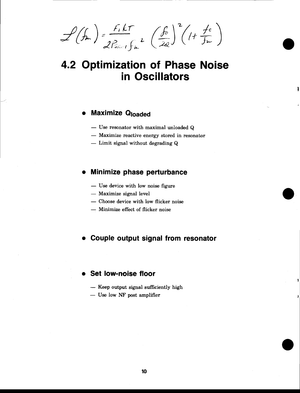$\mathcal{L}(f_m) = \frac{F_1 k T}{2 P_{s_{\text{max}}} f_{\text{max}}} \left(\frac{f_0}{2a}\right)^2 (1 + \frac{f_0}{f_m})$ 

## **4.2 Optimization of Phase Noise** in Oscillators

#### **Maximize Qloaded**

- Use resonator with maximal unloaded Q
- Maximize reactive energy stored in resonator
- $-$  Limit signal without degrading  $Q$

#### Minimize phase perturbance

- Use device with low noise figure
- Maximize signal level
- Choose device with low flicker noise
- Minimize effect of flicker noise

#### Couple output signal from resonator

#### Set low-noise floor

- Keep output signal sufficiently high
- Use low NF post amplifier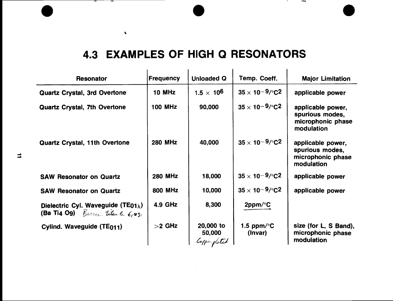## 4.3 EXAMPLES OF HIGH Q RESONATORS

 $\mathbf{A}$ 

| <b>Resonator</b>                                                                                   | Frequency      | <b>Unloaded Q</b>                    | Temp. Coeff.                    | <b>Major Limitation</b>                                                 |
|----------------------------------------------------------------------------------------------------|----------------|--------------------------------------|---------------------------------|-------------------------------------------------------------------------|
| <b>Quartz Crystal, 3rd Overtone</b>                                                                | <b>10 MHz</b>  | 1.5 $\times$ 10 <sup>6</sup>         | $35 \times 10^{-9}$ /°C2        | applicable power                                                        |
| <b>Quartz Crystal, 7th Overtone</b>                                                                | <b>100 MHz</b> | 90,000                               | $35 \times 10^{-9}$ /°C2        | applicable power,<br>spurious modes,<br>microphonic phase<br>modulation |
| <b>Quartz Crystal, 11th Overtone</b>                                                               | <b>280 MHz</b> | 40,000                               | $35 \times 10^{-9}$ /°C2        | applicable power,<br>spurious modes,<br>microphonic phase<br>modulation |
| <b>SAW Resonator on Quartz</b>                                                                     | <b>280 MHz</b> | 18,000                               | $35 \times 10^{-9}$ /°C2        | applicable power                                                        |
| <b>SAW Resonator on Quartz</b>                                                                     | 800 MHz        | 10,000                               | $35 \times 10^{-9}$ /°C2        | applicable power                                                        |
| Dielectric Cyl. Waveguide (TE01 $_{\lambda}$ )<br><b>(Ba Ti4 Og)</b> Barrio titante $\epsilon_{1}$ | 4.9 GHz        | 8,300                                | $2$ ppm/ $\degree$ C            |                                                                         |
| Cylind. Waveguide (TE011)                                                                          | $>2$ GHz       | 20,000 to<br>50,000<br>Copper plated | 1.5 ppm/ $\degree$ C<br>(Invar) | size (for L, S Band),<br>microphonic phase<br>modulation                |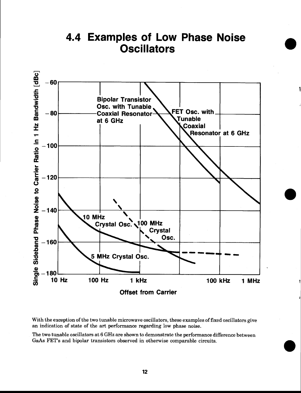![](_page_11_Figure_0.jpeg)

**4.4 Examples of Low Phase Noise Oscillators** 

With the exception of the two tunable microwave oscillators, these examples of fixed oscillators give an indication of state of the art performance regarding low phase noise.

The two tunable oscillators at 6 GHz are shown to demonstrate the performance difference between GaAs FET's and bipolar transistors observed in otherwise comparable circuits.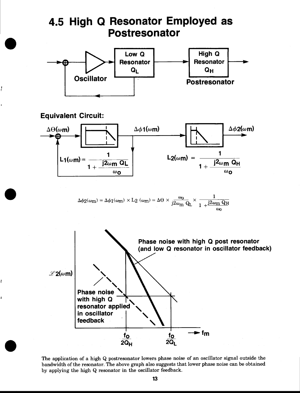![](_page_12_Figure_0.jpeg)

į

ł

The application of a high Q postresonator lowers phase noise of an oscillator signal outside the bandwidth of the resonator. The above graph also suggests that lower phase noise can be obtained by applying the high Q resonator in the oscillator feedback.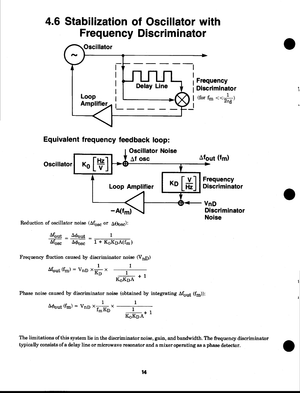## Frequency Discriminator 4.6 Stabilization of Oscillator with

![](_page_13_Figure_1.jpeg)

#### Equivalent frequency feedback loop:

![](_page_13_Figure_3.jpeg)

Reduction of oscillator noise ( $\Delta f_{\rm osc}$  or  $\Delta \Theta_{\rm osc}$ ):

$$
\frac{\Delta f_{\text{out}}}{\Delta f_{\text{osc}}} = \frac{\Delta \phi_{\text{out}}}{\Delta \phi_{\text{osc}}} = \frac{1}{1 + K_{\text{O}} K_{\text{D}} A(f_m)}
$$

Frequency fluction caused by discriminator noise  $(\mathbf{V_{nD}})$ 

$$
\Delta f_{\text{out}}(f_m) = V_{\text{nD}} \times \frac{1}{K_{\text{D}}} \times \frac{1}{\frac{1}{K_{\text{O}}K_{\text{D}}A} + 1}
$$

Phase noise caused by discriminator noise (obtained by integrating  $\Delta f_{out}$  (f<sub>m</sub>)):

$$
\Delta \phi_{\text{out}} \left( \mathbf{f}_{\text{m}} \right) = \mathbf{V}_{\text{n}} \mathbf{D} \times \frac{1}{\mathbf{f}_{\text{m}} \mathbf{K}_{\text{D}}} \times \frac{1}{\frac{1}{\mathbf{K}_{\text{O}} \mathbf{K}_{\text{D}} \mathbf{A}} + 1}
$$

The limitations of this system lie in the discriminatornoise, gain, and bandwidth. The frequency discriminator typically consists of a delay line or microwave resonator and a mixer operating as a phase detector.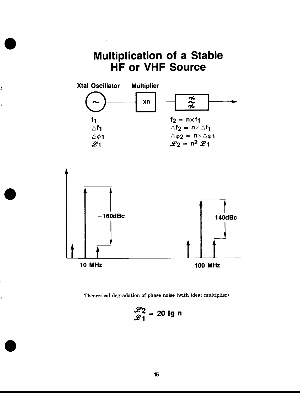![](_page_14_Figure_0.jpeg)

![](_page_14_Figure_1.jpeg)

![](_page_14_Figure_2.jpeg)

Theoretical degradation of phase noise (with ideal multiplier)

$$
\frac{\cancel{z}^2}{\cancel{z}_1} = 20 \text{ lg } n
$$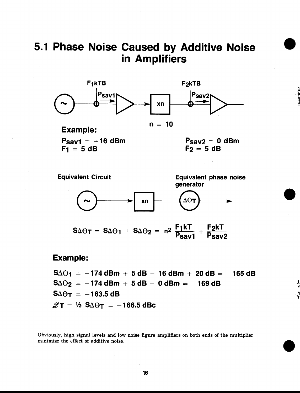## 5.1 Phase Noise Caused by Additive Noise in Amplifiers

![](_page_15_Figure_1.jpeg)

Example:  $n = 10$ 

 $P_{sav1} = +16$  dBm  $F_1 = 5 dB$ 

 $P_{sav2} = 0$  dBm  $F_2 = 5 dB$ 

Tr

!t \$ I

![](_page_15_Figure_5.jpeg)

#### Example:

 $S \Delta \Theta_1 = -174$  dBm + 5 dB - 16 dBm + 20 dB = -165 dB  $S \Delta \Theta_2 = -174$  dBm + 5 dB - 0 dBm = -169 dB  $S \Delta \Theta$ T = -163.5 dB  $\mathscr{L}$ T = ½ S $\Delta\Theta$ T = -166.5 dBc

Obviously, high signal levels and low noise figure amplifiers on both ends of the multiplier minimize the effect of additive noise.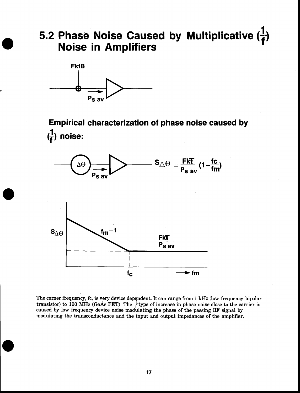# 5.2 Phase Noise Caused by Multiplicative  $(\frac{1}{f})$ <br>Noise in Amplifiers

![](_page_16_Figure_1.jpeg)

Empirical charactenzation of phase noise caused by  $\left(\frac{1}{f}\right)$  noise:

![](_page_16_Figure_3.jpeg)

The corner frequency, fc, is very device dependent. It can range from 1 kHz (low frequency bipolar transistor) to 100 MHz (GaAs FET). The  $\frac{1}{f}$ type of increase in phase noise close to the carrier is caused by low frequency device noise modulating the phase of the passing RF signal by modulating the transconductance and the input and output impedances of the amplifier.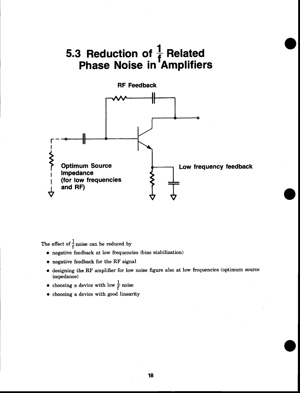## 5.3 Reduction of  $\frac{1}{f}$  Related Phase Noise in'Amplifiers

![](_page_17_Figure_1.jpeg)

The effect of  $\frac{1}{f}$  noise can be reduced by

- o negative feedback at low frequencies (bias stabilization)
- o negative feedback for the RF signal
- $\bullet$  designing the RF amplifier for low noise figure also at low frequencies (optimum source impedance)

• choosing a device with low  $\frac{1}{f}$  noise

choosing a device with good linearity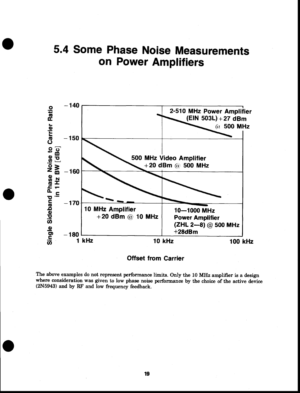![](_page_18_Figure_0.jpeg)

![](_page_18_Figure_1.jpeg)

**Offset from Carrier** 

The above examples do not represent performance limits. Only the 10 MHz amplifier is a design where consideration was given to low phase noise performance by the choice of the active device (2N5943) and by RF and low frequency feedback.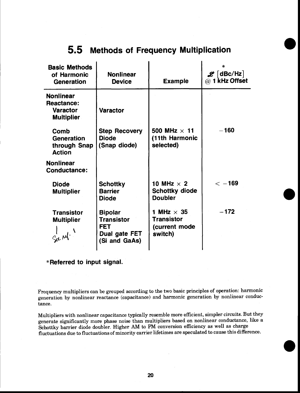| <b>Basic Methods</b><br>of Harmonic<br><b>Generation</b>                      | <b>Nonlinear</b><br><b>Device</b>                                                   | <b>Example</b>                                                     | $\mathscr{L}$ [dBc/Hz]<br>$@$ 1 kHz Offset |
|-------------------------------------------------------------------------------|-------------------------------------------------------------------------------------|--------------------------------------------------------------------|--------------------------------------------|
| <b>Nonlinear</b><br><b>Reactance:</b><br><b>Varactor</b><br><b>Multiplier</b> | <b>Varactor</b>                                                                     |                                                                    |                                            |
| Comb<br>Generation<br>through Snap<br><b>Action</b>                           | <b>Step Recovery</b><br><b>Diode</b><br>(Snap diode)                                | 500 MHz $\times$ 11<br>(11th Harmonic<br>selected)                 | $-160$                                     |
| <b>Nonlinear</b><br><b>Conductance:</b>                                       |                                                                                     |                                                                    |                                            |
| <b>Diode</b><br><b>Multiplier</b>                                             | <b>Schottky</b><br><b>Barrier</b><br><b>Diode</b>                                   | 10 MHz $\times$ 2<br><b>Schottky diode</b><br><b>Doubler</b>       | $\epsilon$ -169                            |
| <b>Transistor</b><br><b>Multiplier</b>                                        | <b>Bipolar</b><br><b>Transistor</b><br><b>FET</b><br>Dual gate FET<br>(Si and GaAs) | 1 MHz $\times$ 35<br><b>Transistor</b><br>(current mode<br>switch) | $-172$                                     |

#### 5.5 Methods of Frequency Multiplication

\*Referred to input signal.

Frequency multipliers can be grouped according to the two basic principles of operation: harmonic generation by nonlinear reactance (capacitance) and harmonic generation by nonlinear conductance.

Multipliers with nonlinear capacitance typically resemble more efficient, simpler circuits. But they generate significantly more phase noise than multipliers based on nonlinear conductance, like a Schottky barrier diode doubler. Higher AM to PM conversion efficiency as well as charge fluctuations due to fluctuations of minority carrier lifetimes are speculated to cause this difference.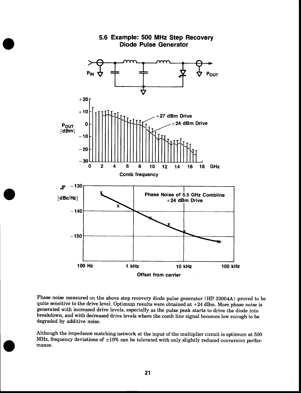![](_page_20_Figure_0.jpeg)

#### 5.6 Example: 500 MHz Step Recovery Diode Pulse Generator

Phase noise measured on the above step recovery diode pulse generator (HP 33004A) proved to be quite sensitive to the drive level. Optimum results were obtained at  $+24$  dBm. More phase noise is generated with increased drive levels, especially as the pulse peak starts to drive the diode into breakdown, and with decreased drive levels where the comb line signal becomes low enough to be degraded by additive noise.

Although the impedance matching network at the input of the multiplier circuit is optimum at 500 MHz, frequency deviations of  $\pm 10\%$  can be tolerated with only slightly reduced conversion performance.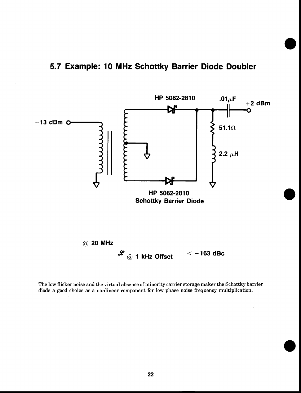#### 5.7 Example: 10 MHz Schottky Barrier Diode Doubler

![](_page_21_Figure_1.jpeg)

The low flicker noise and the virtual absence of minority carrier storage maker the Schottky barrier diode a good choice as a nonlinear component for low phase noise frequency multiplication.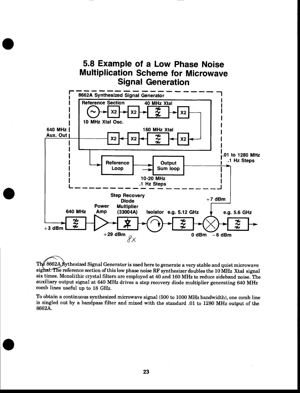#### 5.8 Example of a Low Phase Noise Multiplication Scheme for Microwave Signal Generation

![](_page_22_Figure_1.jpeg)

The 8662A Sythesized Signal Generator is used here to generate a very stable and quiet microwave sighal. The reference section of this low phase noise RF synthesizer doubles the 10 MHz Xtal signal six times. Monolithic crystal filters are employed at 40 and 160 MHz to reduce sideband noise. The auxiliary output signal at 640 MHz drives a step recovery diode multiplier generating 640 MHz comb lines useful up to 18 GHz.

To obtain a continuous synthesized microwave signal (500 to 1000 MHz bandwidth), one comb line is singled out by a bandpass filter and mixed with the standard .01 to 1280 MHz output of the 8662A.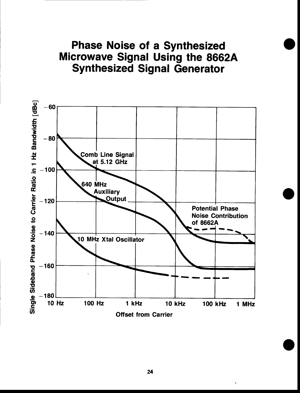Phase Noise of a Synthesized **Microwave Signal Using the 8662A** Synthesized Signal Generator

![](_page_23_Figure_1.jpeg)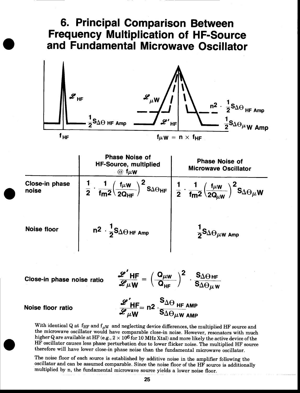## 6. Principal Comparison Between **Frequency Multiplication of HF-Source** and Fundamental Microwave Oscillator

![](_page_24_Figure_1.jpeg)

|                         | <b>Phase Noise of</b><br><b>HF-Source, multiplied</b><br>$@f\mu W$                                              | <b>Phase Noise of</b><br><b>Microwave Oscillator</b>                                                                                                     |
|-------------------------|-----------------------------------------------------------------------------------------------------------------|----------------------------------------------------------------------------------------------------------------------------------------------------------|
| Close-in phase<br>noise | $\frac{1}{\text{fm}^2} \left( \frac{\text{f}_{\mu} \text{w}}{2 \text{Q}_{\text{HF}}} \right)$<br>$\overline{2}$ | $\Big)^2$ SAOHF $\Big  \frac{1}{2} \cdot \frac{1}{\text{fm}^2} \Big( \frac{\text{f}_{\mu W}}{2Q_{\mu W}} \Big)$<br>$- \bigr)^2$ S $_{\Delta\Theta\mu}$ w |
| <b>Noise floor</b>      | $n^2 \cdot \frac{1}{2} S_{\Delta\Theta\,HF\,Amp}$                                                               | $\frac{1}{2}$ S $\Delta\Theta$ $\mu$ w Amp                                                                                                               |

Close-in phase noise ratio

 $\frac{\mathscr{L}^{\prime} H F}{\mathscr{L} \mu W} = \left(\frac{Q_{\mu W}}{Q_{HF}}\right)^2 \cdot \frac{S_{\Delta \Theta HF}}{S_{\Delta \Theta \mu W}}$  $\frac{\mathscr{L}^{\prime}}{\mathscr{L}}_{\mu\mathbf{W}}$ = n2  $\cdot \frac{\mathsf{S}_{\Delta\Theta}}{\mathsf{S}_{\Delta\Theta}}_{\mu\mathbf{W}}$  amp

#### Noise floor ratio

With identical Q at  $f_{HF}$  and  $f_{\mu W}$  and neglecting device differences, the multiplied HF source and the microwave oscillator would have comparable close-in noise. However, resonators with much higher Q are available at HF (e.g.,  $2 \times 10^6$  for 10 MHz Xtal) and more likely the active device of the HF oscillator causes less phase perturbation due to lower flicker noise. The multiplied HF source therefore will have lower close-in phase noise than the fundamental microwave oscillator.

The noise floor of each source is established by additive noise in the amplifier following the oscillator and can be assumed comparable. Since the noise floor of the HF source is additionally multiplied by n, the fundamental microwave source yields a lower noise floor.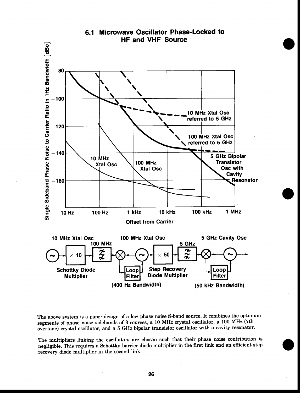![](_page_25_Figure_0.jpeg)

6.1 Microwave Oscillator Phase-Locked to

The above system is a paper design of a low phase noise S-band source. It combines the optimum segments of phase noise sidebands of 3 sources, a 10 MHz crystal oscillator, a 100 MHz (7th overtone) crystal oscillator, and a 5 GHz bipolar transistor oscillator with a cavity resonator.

The multipliers linking the oscillators are chosen such that their phase noise contribution is negligible. This requires a Schottky barrier diode multiplier in the first link and an efficient step recovery diode multiplier in the second link.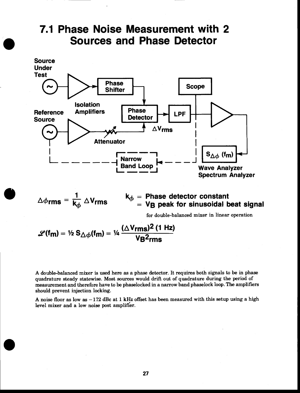## 7.1 Phase Noise Measurement with 2 Sources and Phase Detector

![](_page_26_Figure_1.jpeg)

 $\Delta\phi$ rms =  $\frac{1}{k_b} \Delta V$ rms  $\frac{1}{k_{\phi}} \Delta V$ rms  $\qquad \begin{array}{l} k_{\phi} = \textbf{Phase detector constant} \\ = \textbf{V}_\mathbf{B} \textbf{ peak for sinusoidal beat signal} \end{array}$ 

for double-balanced mixer in linear operation

$$
\mathscr{L}(\mathsf{f}_{\mathsf{m}}) = \frac{1}{2} \, \mathsf{S}_{\triangle \phi}(\mathsf{f}_{\mathsf{m}}) = \frac{1}{4} \, \frac{(\triangle \mathsf{V}_{\mathsf{rms}})^2 \, (1 \, \mathsf{Hz})}{\mathsf{V}_{\mathsf{B}}^2 \mathsf{rms}}
$$

A double-balanced mixer is used here as a phase detector. It requires both signals to be in phase quadrature steady statewise. Most sources would drift out of quadrature during the period of measurement and therefore have to be phaselocked in a narrow band phaselock loop. The amplifiers should prevent injection locking.

A noise floor as low as  $-172$  dBc at 1 kHz offset has been measured with this setup using a high level mixer and a low noise post amplifier.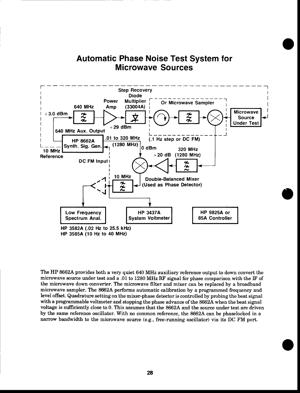#### Automatic Phase Noise Test System for Microwave Sources

![](_page_27_Figure_1.jpeg)

The HP 8662A provides both a very quiet 640 MHz auxiliary reference output to down convert the microwave source under test and a .01to 1280 MHz RF signal for phase comparison with the IF of the microwave down converter. The microwave filter and mixer can be replaced by a broadband microwave sampler. The 8662A performs automatic calibration by a programmed frequency and level offset. Quadrature setting on the mixer-phase detector is controlled by probing the beat signal with a programmable voltmeter and stopping the phase advance of the 8662A when the beat signal voltage is sufficiently close to 0. This assumes that the 8662A and the source under test are driven by the same reference oscillator. With no common reference, the 86624 can be phaselocked in a narrow bandwidth to the microwave source (e.g., free-running oscillator) via its DC FM port.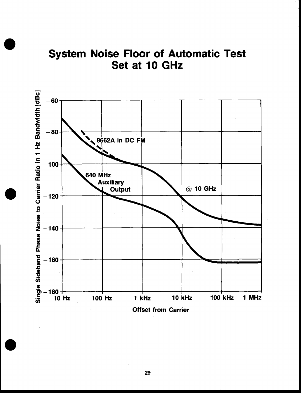![](_page_28_Figure_0.jpeg)

![](_page_28_Figure_1.jpeg)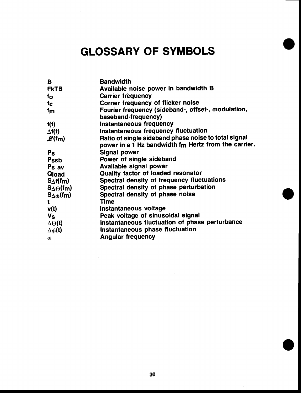## GLOSSARY OF SYMBOLS

| B                                   | <b>Bandwidth</b>                                     |
|-------------------------------------|------------------------------------------------------|
| <b>FKTB</b>                         | Available noise power in bandwidth B                 |
| $f_{\mathbf{O}}$                    | <b>Carrier frequency</b>                             |
| fc.                                 | Corner frequency of flicker noise                    |
| fm                                  | Fourier frequency (sideband-, offset-, modulation,   |
|                                     | baseband-frequency)                                  |
| f(t)                                | Instantaneous frequency                              |
| $\Delta f(t)$                       | Instantaneous frequency fluctuation                  |
| $\mathscr{L}(\mathsf{f}\mathsf{m})$ | Ratio of single sideband phase noise to total signal |
|                                     | power in a 1 Hz bandwidth fm Hertz from the carrier. |
| $P_{S}$                             | <b>Signal power</b>                                  |
| Pssb                                | Power of single sideband                             |
| P <sub>s</sub> av                   | <b>Available signal power</b>                        |
| Qload                               | Quality factor of loaded resonator                   |
| $S_{\Delta}f(f_m)$                  | <b>Spectral density of frequency fluctuations</b>    |
| $S_{\Delta\Theta}$ (fm)             | Spectral density of phase perturbation               |
| $S_{\Delta\phi}$ (fm)               | Spectral density of phase noise                      |
| $\mathbf t$                         | Time                                                 |
| v(t)                                | Instantaneous voltage                                |
| Vs                                  | Peak voltage of sinusoidal signal                    |
| $\Delta\Theta(t)$                   | Instantaneous fluctuation of phase perturbance       |
| $\Delta \phi(t)$                    | Instantaneous phase fluctuation                      |
| $\omega$                            | <b>Angular frequency</b>                             |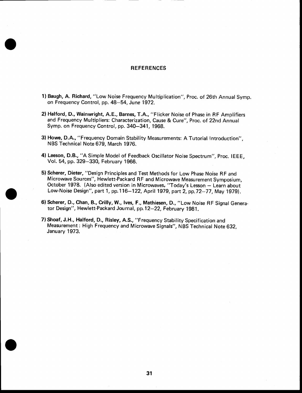#### **REFERENCES**

- 1) Baugh, A. Richard, "Low Noise Frequency Multiplication", Proc. of 26th Annual Symp. on Frequency Control, pp. 48-54, June 1972.
- 2) Halford, D., wainwright, A.E., Barnes, T.A., "Flicker Noise of Phase in RF Amplifiers and Frequency Multipliers: characterization, cause & cure", Proc. of 22nd Annual Symp. on Frequency Control. pp. 340-341, 1968.
- 3) Howe, D.A., "Frequency Domain Stability Measurements: A Tutorial Introduction", NBS Technical Note 679, March 1976.
- 4) Leeson, D.B., "A Simple Model of Feedback Oscillator Noise Spectrum", Proc. IEEE, Vol. 54, pp. 329-330, February 1966.
- 5) Scherer, Dieter, "Design Principles and Test Methods for Low Phase Noise RF and Microwave Sources", Hewlett-Packard RF and Microwave Measurement Symposium, October 1978. (Also edited version in Microwaves, "Today's Lesson - Learn about Low-Noise Design'', part 1, pp. 116–122, April 1979, part 2, pp.72–77, May 1979).
- 6) Scherer, D., Chan, B., Crilly, W., Ives, F., Mathiesen, D., "Low Noise RF Signal Generator Design", Hewlett-Packard Journal, pp.12-22, February 1981.
- 7) shoaf, J.H,, Halford, D., Risley, A.s., "Frequency stability specification and Measurement: High Frequency and Microwave signals", NBs Technical Note 632, January 1973.